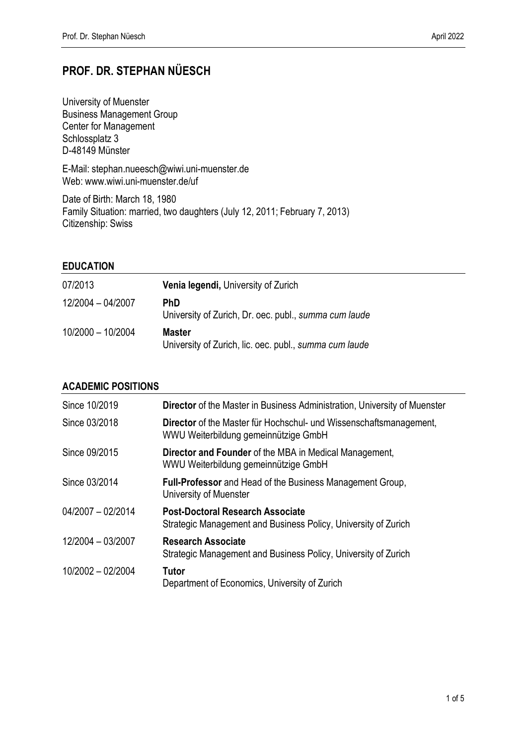# **PROF. DR. STEPHAN NÜESCH**

University of Muenster Business Management Group Center for Management Schlossplatz 3 D-48149 Münster

E-Mail: [stephan.nueesch@wiwi.uni-muenster.de](mailto:stephan.nueesch@wiwi.uni-muenster.de) Web: www.wiwi.uni-muenster.de/uf

Date of Birth: March 18, 1980 Family Situation: married, two daughters (July 12, 2011; February 7, 2013) Citizenship: Swiss

# **EDUCATION**

| 07/2013           | <b>Venia legendi, University of Zurich</b>                              |
|-------------------|-------------------------------------------------------------------------|
| 12/2004 - 04/2007 | <b>PhD</b><br>University of Zurich, Dr. oec. publ., summa cum laude     |
| 10/2000 - 10/2004 | <b>Master</b><br>University of Zurich, lic. oec. publ., summa cum laude |

## **ACADEMIC POSITIONS**

| Since 10/2019     | <b>Director</b> of the Master in Business Administration, University of Muenster                           |
|-------------------|------------------------------------------------------------------------------------------------------------|
| Since 03/2018     | Director of the Master für Hochschul- und Wissenschaftsmanagement,<br>WWU Weiterbildung gemeinnützige GmbH |
| Since 09/2015     | <b>Director and Founder of the MBA in Medical Management,</b><br>WWU Weiterbildung gemeinnützige GmbH      |
| Since 03/2014     | <b>Full-Professor</b> and Head of the Business Management Group,<br>University of Muenster                 |
| 04/2007 - 02/2014 | <b>Post-Doctoral Research Associate</b><br>Strategic Management and Business Policy, University of Zurich  |
| 12/2004 - 03/2007 | <b>Research Associate</b><br>Strategic Management and Business Policy, University of Zurich                |
| 10/2002 - 02/2004 | Tutor<br>Department of Economics, University of Zurich                                                     |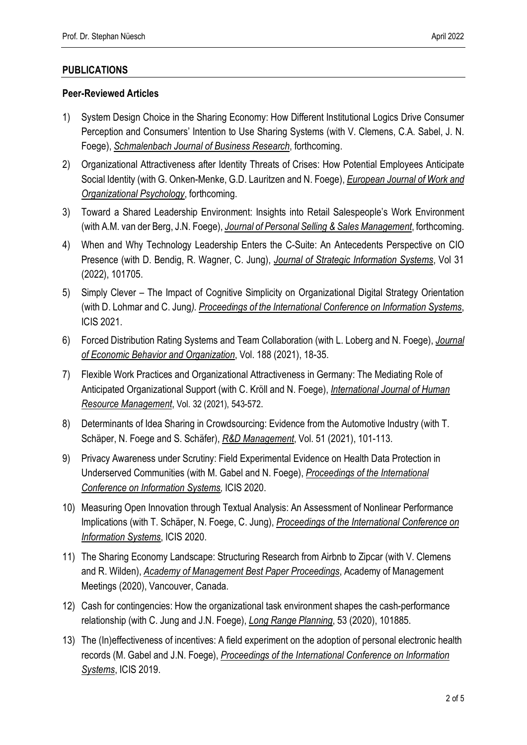## **PUBLICATIONS**

#### **Peer-Reviewed Articles**

- 1) System Design Choice in the Sharing Economy: How Different Institutional Logics Drive Consumer Perception and Consumers' Intention to Use Sharing Systems (with V. Clemens, C.A. Sabel, J. N. Foege), *Schmalenbach Journal of Business Research*, forthcoming.
- 2) Organizational Attractiveness after Identity Threats of Crises: How Potential Employees Anticipate Social Identity (with G. Onken-Menke, G.D. Lauritzen and N. Foege), *European Journal of Work and Organizational Psychology*, forthcoming.
- 3) Toward a Shared Leadership Environment: Insights into Retail Salespeople's Work Environment (with A.M. van der Berg, J.N. Foege), *Journal of Personal Selling & Sales Management*, forthcoming.
- 4) When and Why Technology Leadership Enters the C-Suite: An Antecedents Perspective on CIO Presence (with D. Bendig, R. Wagner, C. Jung), *Journal of Strategic Information Systems*, Vol 31 (2022), 101705.
- 5) Simply Clever The Impact of Cognitive Simplicity on Organizational Digital Strategy Orientation (with D. Lohmar and C. Jung*). Proceedings of the International Conference on Information Systems*, ICIS 2021.
- 6) Forced Distribution Rating Systems and Team Collaboration (with L. Loberg and N. Foege), *Journal of Economic Behavior and Organization*, Vol. 188 (2021), 18-35.
- 7) Flexible Work Practices and Organizational Attractiveness in Germany: The Mediating Role of Anticipated Organizational Support (with C. Kröll and N. Foege), *International Journal of Human Resource Management*, Vol. 32 (2021), 543-572.
- 8) Determinants of Idea Sharing in Crowdsourcing: Evidence from the Automotive Industry (with T. Schäper, N. Foege and S. Schäfer), *R&D Management*, Vol. 51 (2021), 101-113.
- 9) Privacy Awareness under Scrutiny: Field Experimental Evidence on Health Data Protection in Underserved Communities (with M. Gabel and N. Foege), *Proceedings of the International Conference on Information Systems,* ICIS 2020.
- 10) Measuring Open Innovation through Textual Analysis: An Assessment of Nonlinear Performance Implications (with T. Schäper, N. Foege, C. Jung), *Proceedings of the International Conference on Information Systems*, ICIS 2020.
- 11) The Sharing Economy Landscape: Structuring Research from Airbnb to Zipcar (with V. Clemens and R. Wilden), *Academy of Management Best Paper Proceedings*, Academy of Management Meetings (2020), Vancouver, Canada.
- 12) Cash for contingencies: How the organizational task environment shapes the cash-performance relationship (with C. Jung and J.N. Foege), *Long Range Planning*, 53 (2020), 101885.
- 13) The (In)effectiveness of incentives: A field experiment on the adoption of personal electronic health records (M. Gabel and J.N. Foege), *Proceedings of the International Conference on Information Systems*, ICIS 2019.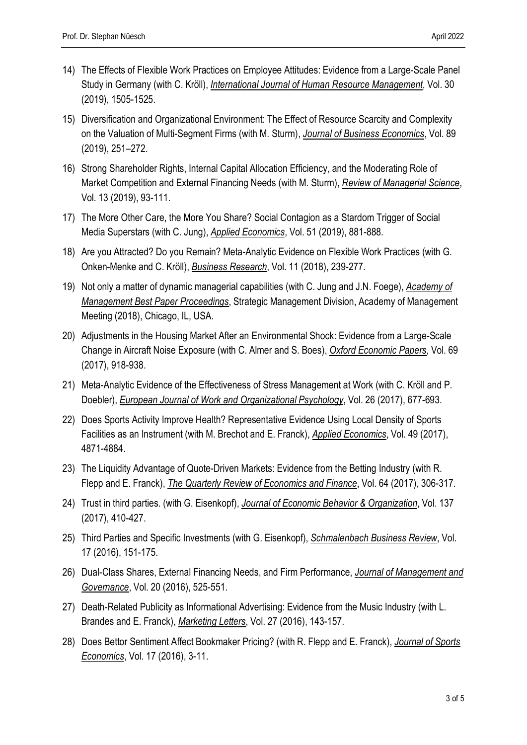- 14) The Effects of Flexible Work Practices on Employee Attitudes: Evidence from a Large-Scale Panel Study in Germany (with C. Kröll), *International Journal of Human Resource Management*, Vol. 30 (2019), 1505-1525.
- 15) Diversification and Organizational Environment: The Effect of Resource Scarcity and Complexity on the Valuation of Multi-Segment Firms (with M. Sturm), *Journal of Business Economics*, Vol. 89 (2019), 251–272.
- 16) Strong Shareholder Rights, Internal Capital Allocation Efficiency, and the Moderating Role of Market Competition and External Financing Needs (with M. Sturm), *Review of Managerial Science*, Vol. 13 (2019), 93-111.
- 17) The More Other Care, the More You Share? Social Contagion as a Stardom Trigger of Social Media Superstars (with C. Jung), *Applied Economics*, Vol. 51 (2019), 881-888.
- 18) Are you Attracted? Do you Remain? Meta-Analytic Evidence on Flexible Work Practices (with G. Onken-Menke and C. Kröll), *Business Research*, Vol. 11 (2018), 239-277.
- 19) Not only a matter of dynamic managerial capabilities (with C. Jung and J.N. Foege), *Academy of Management Best Paper Proceedings*, Strategic Management Division, Academy of Management Meeting (2018), Chicago, IL, USA.
- 20) Adjustments in the Housing Market After an Environmental Shock: Evidence from a Large-Scale Change in Aircraft Noise Exposure (with C. Almer and S. Boes), *Oxford Economic Papers*, Vol. 69 (2017), 918-938.
- 21) Meta-Analytic Evidence of the Effectiveness of Stress Management at Work (with C. Kröll and P. Doebler), *European Journal of Work and Organizational Psychology*, Vol. 26 (2017), 677-693.
- 22) Does Sports Activity Improve Health? Representative Evidence Using Local Density of Sports Facilities as an Instrument (with M. Brechot and E. Franck), *Applied Economics*, Vol. 49 (2017), 4871-4884.
- 23) The Liquidity Advantage of Quote-Driven Markets: Evidence from the Betting Industry (with R. Flepp and E. Franck), *The Quarterly Review of Economics and Finance*, Vol. 64 (2017), 306-317.
- 24) Trust in third parties. (with G. Eisenkopf), *Journal of Economic Behavior & Organization*, Vol. 137 (2017), 410-427.
- 25) Third Parties and Specific Investments (with G. Eisenkopf), *Schmalenbach Business Review*, Vol. 17 (2016), 151-175.
- 26) Dual-Class Shares, External Financing Needs, and Firm Performance, *Journal of Management and Governance*, Vol. 20 (2016), 525-551.
- 27) Death-Related Publicity as Informational Advertising: Evidence from the Music Industry (with L. Brandes and E. Franck), *Marketing Letters*, Vol. 27 (2016), 143-157.
- 28) Does Bettor Sentiment Affect Bookmaker Pricing? (with R. Flepp and E. Franck), *Journal of Sports Economics*, Vol. 17 (2016), 3-11.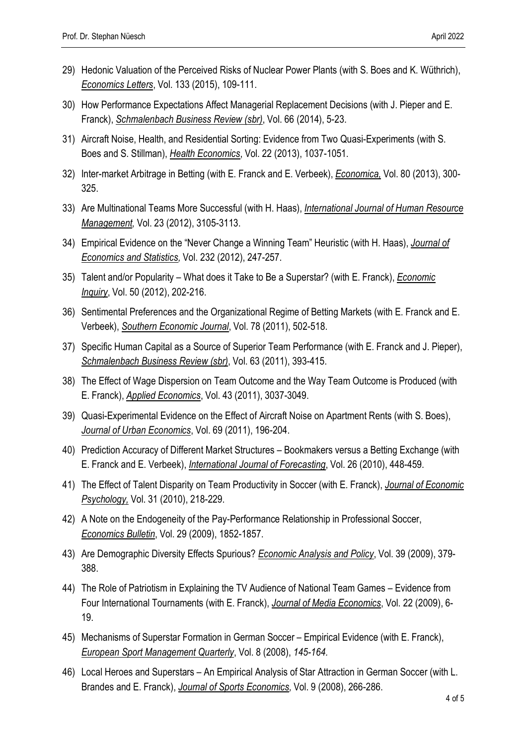- 29) Hedonic Valuation of the Perceived Risks of Nuclear Power Plants (with S. Boes and K. Wüthrich), *Economics Letters*, Vol. 133 (2015), 109-111.
- 30) How Performance Expectations Affect Managerial Replacement Decisions (with J. Pieper and E. Franck), *Schmalenbach Business Review (sbr)*, Vol. 66 (2014), 5-23.
- 31) Aircraft Noise, Health, and Residential Sorting: Evidence from Two Quasi-Experiments (with S. Boes and S. Stillman), *Health Economics*, Vol. 22 (2013), 1037-1051.
- 32) Inter-market Arbitrage in Betting (with E. Franck and E. Verbeek), *Economica,* Vol. 80 (2013), 300- 325.
- 33) Are Multinational Teams More Successful (with H. Haas), *International Journal of Human Resource Management,* Vol. 23 (2012), 3105-3113.
- 34) Empirical Evidence on the "Never Change a Winning Team" Heuristic (with H. Haas), *Journal of Economics and Statistics,* Vol. 232 (2012), 247-257.
- 35) Talent and/or Popularity What does it Take to Be a Superstar? (with E. Franck), *Economic Inquiry*, Vol. 50 (2012), 202-216.
- 36) Sentimental Preferences and the Organizational Regime of Betting Markets (with E. Franck and E. Verbeek), *Southern Economic Journal*, Vol. 78 (2011), 502-518.
- 37) Specific Human Capital as a Source of Superior Team Performance (with E. Franck and J. Pieper), *Schmalenbach Business Review (sbr)*, Vol. 63 (2011), 393-415.
- 38) The Effect of Wage Dispersion on Team Outcome and the Way Team Outcome is Produced (with E. Franck), *Applied Economics*, Vol. 43 (2011), 3037-3049.
- 39) Quasi-Experimental Evidence on the Effect of Aircraft Noise on Apartment Rents (with S. Boes), *Journal of Urban Economics*, Vol. 69 (2011), 196-204.
- 40) Prediction Accuracy of Different Market Structures Bookmakers versus a Betting Exchange (with E. Franck and E. Verbeek), *International Journal of Forecasting*, Vol. 26 (2010), 448-459.
- 41) The Effect of Talent Disparity on Team Productivity in Soccer (with E. Franck), *Journal of Economic Psychology,* Vol. 31 (2010), 218-229.
- 42) A Note on the Endogeneity of the Pay-Performance Relationship in Professional Soccer, *Economics Bulletin*, Vol. 29 (2009), 1852-1857.
- 43) Are Demographic Diversity Effects Spurious? *Economic Analysis and Policy*, Vol. 39 (2009), 379- 388.
- 44) The Role of Patriotism in Explaining the TV Audience of National Team Games Evidence from Four International Tournaments (with E. Franck), *Journal of Media Economics*, Vol. 22 (2009), 6- 19.
- 45) Mechanisms of Superstar Formation in German Soccer Empirical Evidence (with E. Franck), *European Sport Management Quarterly*, Vol. 8 (2008), *145-164.*
- 46) Local Heroes and Superstars An Empirical Analysis of Star Attraction in German Soccer (with L. Brandes and E. Franck), *Journal of Sports Economics,* Vol. 9 (2008), 266-286.